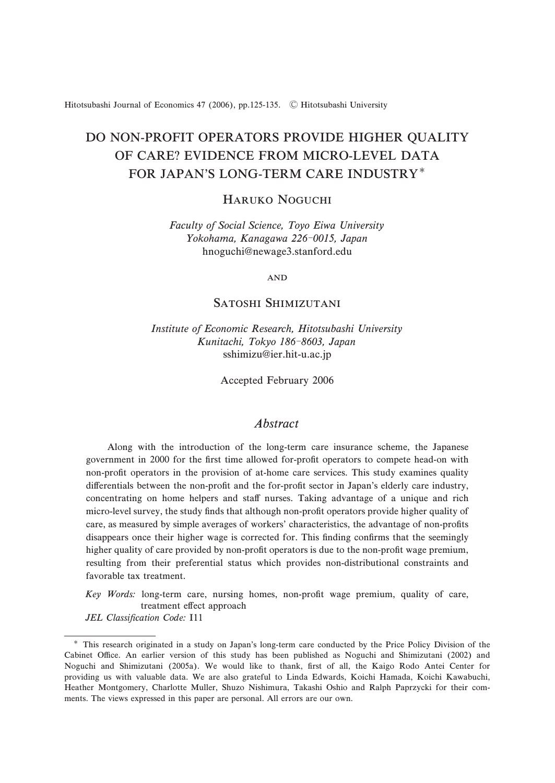Hitotsubashi Journal of Economics 47 (2006), pp.125-135. C Hitotsubashi University

# DO NON-PROFIT OPERATORS PROVIDE HIGHER QUALITY OF CARE? EVIDENCE FROM MICRO-LEVEL DATA FOR JAPAN'S LONG-TERM CARE INDUSTRY

# HARUKO NOGUCHI

Faculty of Social Science, Toyo Eiwa University Yokohama, Kanagawa 226-0015, Japan hnoguchi@newage3.stanford.edu

 $AND$ 

# SATOSHI SHIMIZIITANI

Institute of Economic Research, Hitotsubashi University Kunitachi, Tokyo 186-8603, Japan sshimizu@ier.hit-u.ac.jp

Accepted February 2006

#### Abstract

Along with the introduction of the long-term care insurance scheme, the Japanese government in 2000 for the first time allowed for-profit operators to compete head-on with non-profit operators in the provision of at-home care services. This study examines quality differentials between the non-profit and the for-profit sector in Japan's elderly care industry, concentrating on home helpers and staff nurses. Taking advantage of a unique and rich micro-level survey, the study finds that although non-profit operators provide higher quality of care, as measured by simple averages of workers' characteristics, the advantage of non-profits disappears once their higher wage is corrected for. This finding confirms that the seemingly higher quality of care provided by non-profit operators is due to the non-profit wage premium, resulting from their preferential status which provides non-distributional constraints and favorable tax treatment.

Key Words: long-term care, nursing homes, non-profit wage premium, quality of care, treatment effect approach

JEL Classification Code: I11

This research originated in a study on Japan's long-term care conducted by the Price Policy Division of the Cabinet Office. An earlier version of this study has been published as Noguchi and Shimizutani (2002) and Noguchi and Shimizutani (2005a). We would like to thank, first of all, the Kaigo Rodo Antei Center for providing us with valuable data. We are also grateful to Linda Edwards, Koichi Hamada, Koichi Kawabuchi, Heather Montgomery, Charlotte Muller, Shuzo Nishimura, Takashi Oshio and Ralph Paprzycki for their comments. The views expressed in this paper are personal. All errors are our own.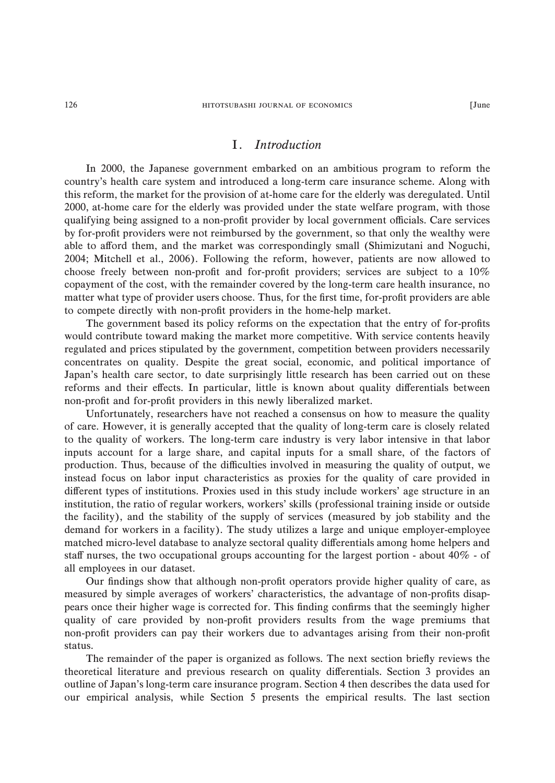# I. Introduction

In 2000, the Japanese government embarked on an ambitious program to reform the country's health care system and introduced a long-term care insurance scheme. Along with this reform, the market for the provision of at-home care for the elderly was deregulated. Until 2000, at-home care for the elderly was provided under the state welfare program, with those qualifying being assigned to a non-profit provider by local government officials. Care services by for-profit providers were not reimbursed by the government, so that only the wealthy were able to a#ord them, and the market was correspondingly small (Shimizutani and Noguchi, 2004; Mitchell et al., 2006). Following the reform, however, patients are now allowed to choose freely between non-profit and for-profit providers; services are subject to a 10% copayment of the cost, with the remainder covered by the long-term care health insurance, no matter what type of provider users choose. Thus, for the first time, for-profit providers are able to compete directly with non-profit providers in the home-help market.

The government based its policy reforms on the expectation that the entry of for-profits would contribute toward making the market more competitive. With service contents heavily regulated and prices stipulated by the government, competition between providers necessarily concentrates on quality. Despite the great social, economic, and political importance of Japan's health care sector, to date surprisingly little research has been carried out on these reforms and their effects. In particular, little is known about quality differentials between non-profit and for-profit providers in this newly liberalized market.

Unfortunately, researchers have not reached a consensus on how to measure the quality of care. However, it is generally accepted that the quality of long-term care is closely related to the quality of workers. The long-term care industry is very labor intensive in that labor inputs account for a large share, and capital inputs for a small share, of the factors of production. Thus, because of the difficulties involved in measuring the quality of output, we instead focus on labor input characteristics as proxies for the quality of care provided in different types of institutions. Proxies used in this study include workers' age structure in an institution, the ratio of regular workers, workers' skills (professional training inside or outside the facility), and the stability of the supply of services (measured by job stability and the demand for workers in a facility). The study utilizes a large and unique employer-employee matched micro-level database to analyze sectoral quality differentials among home helpers and staff nurses, the two occupational groups accounting for the largest portion - about  $40\%$  - of all employees in our dataset.

Our findings show that although non-profit operators provide higher quality of care, as measured by simple averages of workers' characteristics, the advantage of non-profits disappears once their higher wage is corrected for. This finding confirms that the seemingly higher quality of care provided by non-profit providers results from the wage premiums that non-profit providers can pay their workers due to advantages arising from their non-profit status.

The remainder of the paper is organized as follows. The next section briefly reviews the theoretical literature and previous research on quality differentials. Section 3 provides an outline of Japan's long-term care insurance program. Section 4 then describes the data used for our empirical analysis, while Section 5 presents the empirical results. The last section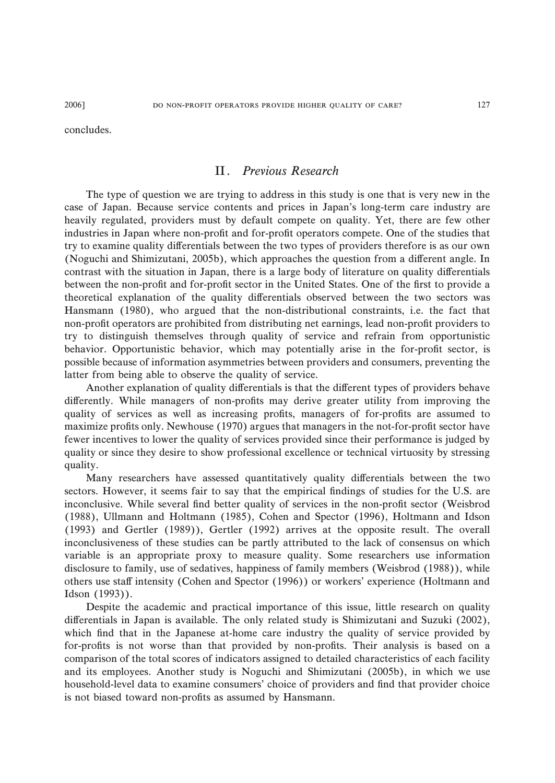concludes.

# II. Previous Research

The type of question we are trying to address in this study is one that is very new in the case of Japan. Because service contents and prices in Japan's long-term care industry are heavily regulated, providers must by default compete on quality. Yet, there are few other industries in Japan where non-profit and for-profit operators compete. One of the studies that try to examine quality differentials between the two types of providers therefore is as our own (Noguchi and Shimizutani, 2005b), which approaches the question from a different angle. In contrast with the situation in Japan, there is a large body of literature on quality differentials between the non-profit and for-profit sector in the United States. One of the first to provide a theoretical explanation of the quality differentials observed between the two sectors was Hansmann (1980), who argued that the non-distributional constraints, i.e. the fact that non-profit operators are prohibited from distributing net earnings, lead non-profit providers to try to distinguish themselves through quality of service and refrain from opportunistic behavior. Opportunistic behavior, which may potentially arise in the for-profit sector, is possible because of information asymmetries between providers and consumers, preventing the latter from being able to observe the quality of service.

Another explanation of quality differentials is that the different types of providers behave differently. While managers of non-profits may derive greater utility from improving the quality of services as well as increasing profits, managers of for-profits are assumed to maximize profits only. Newhouse (1970) argues that managers in the not-for-profit sector have fewer incentives to lower the quality of services provided since their performance is judged by quality or since they desire to show professional excellence or technical virtuosity by stressing quality.

Many researchers have assessed quantitatively quality differentials between the two sectors. However, it seems fair to say that the empirical findings of studies for the U.S. are inconclusive. While several find better quality of services in the non-profit sector (Weisbrod (1988), Ullmann and Holtmann (1985), Cohen and Spector (1996), Holtmann and Idson (1993) and Gertler (1989)), Gertler (1992) arrives at the opposite result. The overall inconclusiveness of these studies can be partly attributed to the lack of consensus on which variable is an appropriate proxy to measure quality. Some researchers use information disclosure to family, use of sedatives, happiness of family members (Weisbrod (1988)), while others use staff intensity (Cohen and Spector (1996)) or workers' experience (Holtmann and Idson (1993)).

Despite the academic and practical importance of this issue, little research on quality differentials in Japan is available. The only related study is Shimizutani and Suzuki (2002), which find that in the Japanese at-home care industry the quality of service provided by for-profits is not worse than that provided by non-profits. Their analysis is based on a comparison of the total scores of indicators assigned to detailed characteristics of each facility and its employees. Another study is Noguchi and Shimizutani (2005b), in which we use household-level data to examine consumers' choice of providers and find that provider choice is not biased toward non-profits as assumed by Hansmann.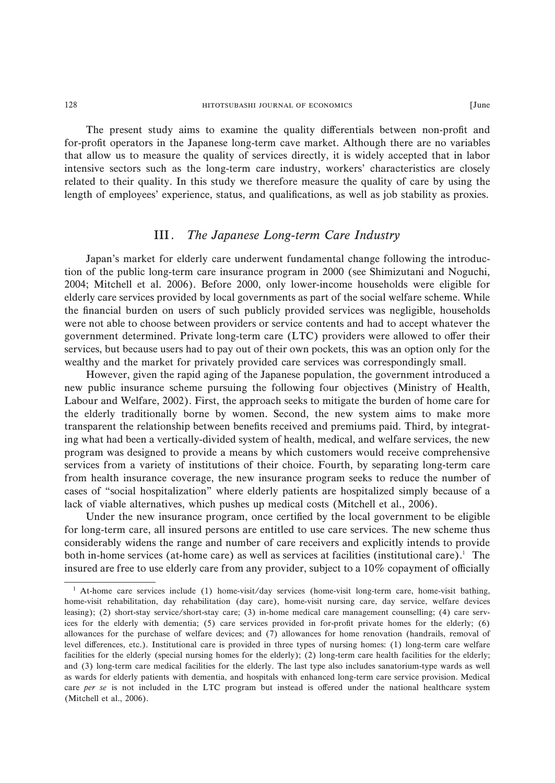#### $+128$   $+1100$   $+1100$   $+100$   $+100$   $+100$   $+100$   $+100$   $+100$   $+100$   $+100$   $+100$   $+100$   $+100$   $+100$   $+100$   $+100$   $+100$   $+100$   $+100$   $+100$   $+100$   $+100$   $+100$   $+100$   $+100$   $+100$   $+100$   $+100$   $+100$   $+100$   $+1$

The present study aims to examine the quality differentials between non-profit and for-profit operators in the Japanese long-term cave market. Although there are no variables that allow us to measure the quality of services directly, it is widely accepted that in labor intensive sectors such as the long-term care industry, workers' characteristics are closely related to their quality. In this study we therefore measure the quality of care by using the length of employees' experience, status, and qualifications, as well as job stability as proxies.

# III. The Japanese Long-term Care Industry

Japan's market for elderly care underwent fundamental change following the introduction of the public long-term care insurance program in 2000 (see Shimizutani and Noguchi, 2004; Mitchell et al. 2006). Before 2000, only lower-income households were eligible for elderly care services provided by local governments as part of the social welfare scheme. While the financial burden on users of such publicly provided services was negligible, households were not able to choose between providers or service contents and had to accept whatever the government determined. Private long-term care (LTC) providers were allowed to offer their services, but because users had to pay out of their own pockets, this was an option only for the wealthy and the market for privately provided care services was correspondingly small.

However, given the rapid aging of the Japanese population, the government introduced a new public insurance scheme pursuing the following four objectives (Ministry of Health, Labour and Welfare, 2002). First, the approach seeks to mitigate the burden of home care for the elderly traditionally borne by women. Second, the new system aims to make more transparent the relationship between benefits received and premiums paid. Third, by integrating what had been a vertically-divided system of health, medical, and welfare services, the new program was designed to provide a means by which customers would receive comprehensive services from a variety of institutions of their choice. Fourth, by separating long-term care from health insurance coverage, the new insurance program seeks to reduce the number of cases of "social hospitalization" where elderly patients are hospitalized simply because of a lack of viable alternatives, which pushes up medical costs (Mitchell et al., 2006).

Under the new insurance program, once certified by the local government to be eligible for long-term care, all insured persons are entitled to use care services. The new scheme thus considerably widens the range and number of care receivers and explicitly intends to provide both in-home services (at-home care) as well as services at facilities (institutional care).<sup>1</sup> The insured are free to use elderly care from any provider, subject to a  $10\%$  copayment of officially

<sup>&</sup>lt;sup>1</sup> At-home care services include (1) home-visit/day services (home-visit long-term care, home-visit bathing, home-visit rehabilitation, day rehabilitation (day care), home-visit nursing care, day service, welfare devices leasing); (2) short-stay service/short-stay care; (3) in-home medical care management counselling; (4) care services for the elderly with dementia; (5) care services provided in for-profit private homes for the elderly; (6) allowances for the purchase of welfare devices; and (7) allowances for home renovation (handrails, removal of level differences, etc.). Institutional care is provided in three types of nursing homes: (1) long-term care welfare facilities for the elderly (special nursing homes for the elderly); (2) long-term care health facilities for the elderly; and (3) long-term care medical facilities for the elderly. The last type also includes sanatorium-type wards as well as wards for elderly patients with dementia, and hospitals with enhanced long-term care service provision. Medical care per se is not included in the LTC program but instead is offered under the national healthcare system (Mitchell et al., 2006).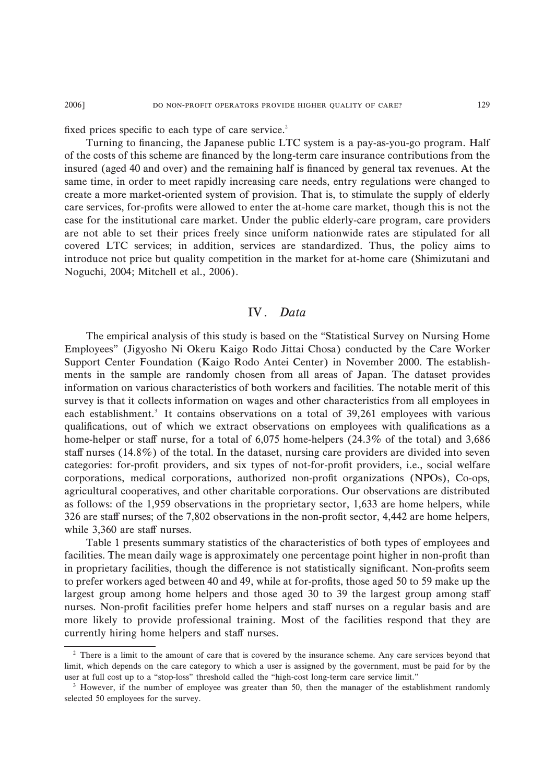fixed prices specific to each type of care service.<sup>2</sup>

Turning to financing, the Japanese public LTC system is a pay-as-you-go program. Half of the costs of this scheme are financed by the long-term care insurance contributions from the insured (aged 40 and over) and the remaining half is financed by general tax revenues. At the same time, in order to meet rapidly increasing care needs, entry regulations were changed to create a more market-oriented system of provision. That is, to stimulate the supply of elderly care services, for-profits were allowed to enter the at-home care market, though this is not the case for the institutional care market. Under the public elderly-care program, care providers are not able to set their prices freely since uniform nationwide rates are stipulated for all covered LTC services; in addition, services are standardized. Thus, the policy aims to introduce not price but quality competition in the market for at-home care (Shimizutani and Noguchi, 2004; Mitchell et al., 2006).

# IV. Data

The empirical analysis of this study is based on the "Statistical Survey on Nursing Home Employees" (Jigyosho Ni Okeru Kaigo Rodo Jittai Chosa) conducted by the Care Worker Support Center Foundation (Kaigo Rodo Antei Center) in November 2000. The establishments in the sample are randomly chosen from all areas of Japan. The dataset provides information on various characteristics of both workers and facilities. The notable merit of this survey is that it collects information on wages and other characteristics from all employees in each establishment.<sup>3</sup> It contains observations on a total of 39,261 employees with various qualifications, out of which we extract observations on employees with qualifications as a home-helper or staff nurse, for a total of  $6,075$  home-helpers  $(24.3\%$  of the total) and 3,686 staff nurses  $(14.8\%)$  of the total. In the dataset, nursing care providers are divided into seven categories: for-profit providers, and six types of not-for-profit providers, i.e., social welfare corporations, medical corporations, authorized non-profit organizations (NPOs), Co-ops, agricultural cooperatives, and other charitable corporations. Our observations are distributed as follows: of the 1,959 observations in the proprietary sector, 1,633 are home helpers, while  $326$  are staff nurses; of the 7,802 observations in the non-profit sector, 4,442 are home helpers, while 3,360 are staff nurses.

Table 1 presents summary statistics of the characteristics of both types of employees and facilities. The mean daily wage is approximately one percentage point higher in non-profit than in proprietary facilities, though the difference is not statistically significant. Non-profits seem to prefer workers aged between 40 and 49, while at for-profits, those aged 50 to 59 make up the largest group among home helpers and those aged 30 to 39 the largest group among staff nurses. Non-profit facilities prefer home helpers and staff nurses on a regular basis and are more likely to provide professional training. Most of the facilities respond that they are currently hiring home helpers and staff nurses.

<sup>&</sup>lt;sup>2</sup> There is a limit to the amount of care that is covered by the insurance scheme. Any care services beyond that limit, which depends on the care category to which a user is assigned by the government, must be paid for by the user at full cost up to a "stop-loss" threshold called the "high-cost long-term care service limit."

<sup>&</sup>lt;sup>3</sup> However, if the number of employee was greater than 50, then the manager of the establishment randomly selected 50 employees for the survey.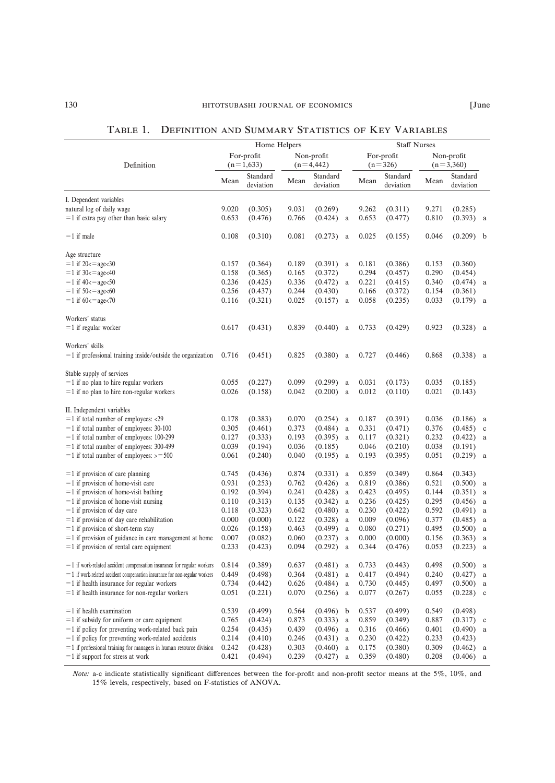|                                    |      | UMMARY STATISTICS OF KEY VARIABLES |      |                         |                           |                 |  |  |  |  |  |  |
|------------------------------------|------|------------------------------------|------|-------------------------|---------------------------|-----------------|--|--|--|--|--|--|
| Home Helpers                       |      |                                    |      | <b>Staff Nurses</b>     |                           |                 |  |  |  |  |  |  |
| ofit<br>533)                       |      | Non-profit<br>$(n=4,442)$          |      | For-profit<br>$(n=326)$ | Non-profit<br>$(n=3,360)$ |                 |  |  |  |  |  |  |
| tandard<br>eviation                | Mean | Standard<br>deviation              | Mean | Standard<br>deviation   | Mean                      | Stand<br>deviat |  |  |  |  |  |  |
| $\sim$ $\sim$ $\sim$ $\sim$ $\sim$ |      |                                    |      |                         |                           |                 |  |  |  |  |  |  |

For-profit

| Definition                                                                        | $01$ prome<br>$(n=1,633)$ |           |       | 1 von prom<br>$(n=4, 442)$ |       | 1 or prome<br>$(n=326)$ | $110H$ profit<br>$(n=3,360)$ |             |   |
|-----------------------------------------------------------------------------------|---------------------------|-----------|-------|----------------------------|-------|-------------------------|------------------------------|-------------|---|
|                                                                                   | Mean                      | Standard  | Mean  | Standard                   | Mean  | Standard                | Mean                         | Standard    |   |
|                                                                                   |                           | deviation |       | deviation                  |       | deviation               |                              | deviation   |   |
| I. Dependent variables                                                            |                           |           |       |                            |       |                         |                              |             |   |
| natural log of daily wage                                                         | 9.020                     | (0.305)   | 9.031 | (0.269)                    | 9.262 | (0.311)                 | 9.271                        | (0.285)     |   |
| $=$ 1 if extra pay other than basic salary                                        | 0.653                     | (0.476)   | 0.766 | (0.424)<br>a               | 0.653 | (0.477)                 | 0.810                        | $(0.393)$ a |   |
|                                                                                   |                           |           |       |                            |       |                         |                              |             |   |
| $=$ 1 if male                                                                     | 0.108                     | (0.310)   | 0.081 | $(0.273)$ a                | 0.025 | (0.155)                 | 0.046                        | $(0.209)$ b |   |
| Age structure                                                                     |                           |           |       |                            |       |                         |                              |             |   |
| $=$ 1 if 20 <= age < 30                                                           | 0.157                     | (0.364)   | 0.189 | $(0.391)$ a                | 0.181 | (0.386)                 | 0.153                        | (0.360)     |   |
| $=$ 1 if 30 < = age < 40                                                          | 0.158                     | (0.365)   | 0.165 | (0.372)                    | 0.294 | (0.457)                 | 0.290                        | (0.454)     |   |
| $=$ 1 if 40 $< =$ age $<$ 50                                                      | 0.236                     | (0.425)   | 0.336 | $(0.472)$ a                | 0.221 | (0.415)                 | 0.340                        | $(0.474)$ a |   |
| $=$ 1 if 50 $<$ = age $<$ 60                                                      | 0.256                     | (0.437)   | 0.244 | (0.430)                    | 0.166 | (0.372)                 | 0.154                        | (0.361)     |   |
| $=$ 1 if 60 < $=$ age < 70                                                        | 0.116                     | (0.321)   | 0.025 | $(0.157)$ a                | 0.058 | (0.235)                 | 0.033                        | $(0.179)$ a |   |
| Workers' status                                                                   |                           |           |       |                            |       |                         |                              |             |   |
| $=$ 1 if regular worker                                                           | 0.617                     | (0.431)   | 0.839 | (0.440)<br>a               | 0.733 | (0.429)                 | 0.923                        | $(0.328)$ a |   |
|                                                                                   |                           |           |       |                            |       |                         |                              |             |   |
| Workers' skills<br>$=$ 1 if professional training inside/outside the organization | 0.716                     | (0.451)   | 0.825 | (0.380)<br>a               | 0.727 | (0.446)                 | 0.868                        | $(0.338)$ a |   |
|                                                                                   |                           |           |       |                            |       |                         |                              |             |   |
| Stable supply of services                                                         |                           |           |       |                            |       |                         |                              |             |   |
| $=$ 1 if no plan to hire regular workers                                          | 0.055                     | (0.227)   | 0.099 | $(0.299)$ a                | 0.031 | (0.173)                 | 0.035                        | (0.185)     |   |
| $=$ 1 if no plan to hire non-regular workers                                      | 0.026                     | (0.158)   | 0.042 | $(0.200)$ a                | 0.012 | (0.110)                 | 0.021                        | (0.143)     |   |
| II. Independent variables                                                         |                           |           |       |                            |       |                         |                              |             |   |
| $=$ 1 if total number of employees: <29                                           | 0.178                     | (0.383)   | 0.070 | $(0.254)$ a                | 0.187 | (0.391)                 | 0.036                        | $(0.186)$ a |   |
| $=$ 1 if total number of employees: 30-100                                        | 0.305                     | (0.461)   | 0.373 | (0.484)<br>a               | 0.331 | (0.471)                 | 0.376                        | $(0.485)$ c |   |
| $=$ 1 if total number of employees: 100-299                                       | 0.127                     | (0.333)   | 0.193 | $(0.395)$ a                | 0.117 | (0.321)                 | 0.232                        | $(0.422)$ a |   |
| $=$ 1 if total number of employees: 300-499                                       | 0.039                     | (0.194)   | 0.036 | (0.185)                    | 0.046 | (0.210)                 | 0.038                        | (0.191)     |   |
| $=$ 1 if total number of employees: $>$ = 500                                     | 0.061                     | (0.240)   | 0.040 | $(0.195)$ a                | 0.193 | (0.395)                 | 0.051                        | $(0.219)$ a |   |
|                                                                                   |                           |           |       |                            |       |                         |                              |             |   |
| $=$ 1 if provision of care planning                                               | 0.745                     | (0.436)   | 0.874 | $(0.331)$ a                | 0.859 | (0.349)                 | 0.864                        | (0.343)     |   |
| $=$ 1 if provision of home-visit care                                             | 0.931                     | (0.253)   | 0.762 | (0.426)<br>a               | 0.819 | (0.386)                 | 0.521                        | $(0.500)$ a |   |
| $=$ 1 if provision of home-visit bathing                                          | 0.192                     | (0.394)   | 0.241 | (0.428)<br>a               | 0.423 | (0.495)                 | 0.144                        | $(0.351)$ a |   |
| $=$ 1 if provision of home-visit nursing                                          | 0.110                     | (0.313)   | 0.135 | $(0.342)$ a                | 0.236 | (0.425)                 | 0.295                        | $(0.456)$ a |   |
| $=$ 1 if provision of day care                                                    | 0.118                     | (0.323)   | 0.642 | (0.480)<br>a               | 0.230 | (0.422)                 | 0.592                        | $(0.491)$ a |   |
| $=$ 1 if provision of day care rehabilitation                                     | 0.000                     | (0.000)   | 0.122 | (0.328)<br>a               | 0.009 | (0.096)                 | 0.377                        | $(0.485)$ a |   |
| $=$ 1 if provision of short-term stay                                             | 0.026                     | (0.158)   | 0.463 | $(0.499)$ a                | 0.080 | (0.271)                 | 0.495                        | $(0.500)$ a |   |
| $=$ 1 if provision of guidance in care management at home                         | 0.007                     | (0.082)   | 0.060 | (0.237)<br>$\rm{a}$        | 0.000 | (0.000)                 | 0.156                        | $(0.363)$ a |   |
| $=$ 1 if provision of rental care equipment                                       | 0.233                     | (0.423)   | 0.094 | (0.292)<br>a               | 0.344 | (0.476)                 | 0.053                        | $(0.223)$ a |   |
| $=$ 1 if work-related accident compensation insurance for regular workers         | 0.814                     | (0.389)   | 0.637 | $(0.481)$ a                | 0.733 | (0.443)                 | 0.498                        | $(0.500)$ a |   |
| $=$ 1 if work-related accident compensation insurance for non-regular workers     | 0.449                     | (0.498)   | 0.364 | (0.481)<br>a               | 0.417 | (0.494)                 | 0.240                        | (0.427)     | a |
| $=$ 1 if health insurance for regular workers                                     | 0.734                     | (0.442)   | 0.626 | $(0.484)$ a                | 0.730 | (0.445)                 | 0.497                        | $(0.500)$ a |   |
| $=$ 1 if health insurance for non-regular workers                                 | 0.051                     | (0.221)   | 0.070 | $(0.256)$ a                | 0.077 | (0.267)                 | 0.055                        | $(0.228)$ c |   |
|                                                                                   |                           |           |       |                            |       |                         |                              |             |   |
| $=$ 1 if health examination                                                       | 0.539                     | (0.499)   | 0.564 | $(0.496)$ b                | 0.537 | (0.499)                 | 0.549                        | (0.498)     |   |
| $=$ 1 if subsidy for uniform or care equipment                                    | 0.765                     | (0.424)   | 0.873 | (0.333)<br>a               | 0.859 | (0.349)                 | 0.887                        | $(0.317)$ c |   |
| $=$ 1 if policy for preventing work-related back pain                             | 0.254                     | (0.435)   | 0.439 | $(0.496)$ a                | 0.316 | (0.466)                 | 0.401                        | $(0.490)$ a |   |
| $=$ 1 if policy for preventing work-related accidents                             | 0.214                     | (0.410)   | 0.246 | $(0.431)$ a                | 0.230 | (0.422)                 | 0.233                        | (0.423)     |   |
| $=$ 1 if professional training for managers in human resource division            | 0.242                     | (0.428)   | 0.303 | (0.460)<br>$\rm{a}$        | 0.175 | (0.380)                 | 0.309                        | $(0.462)$ a |   |
| $=$ 1 if support for stress at work                                               | 0.421                     | (0.494)   | 0.239 | $(0.427)$ a                | 0.359 | (0.480)                 | 0.208                        | $(0.406)$ a |   |
|                                                                                   |                           |           |       |                            |       |                         |                              |             |   |

Note: a-c indicate statistically significant differences between the for-profit and non-profit sector means at the  $5\%$ ,  $10\%$ , and 15% levels, respectively, based on F-statistics of ANOVA.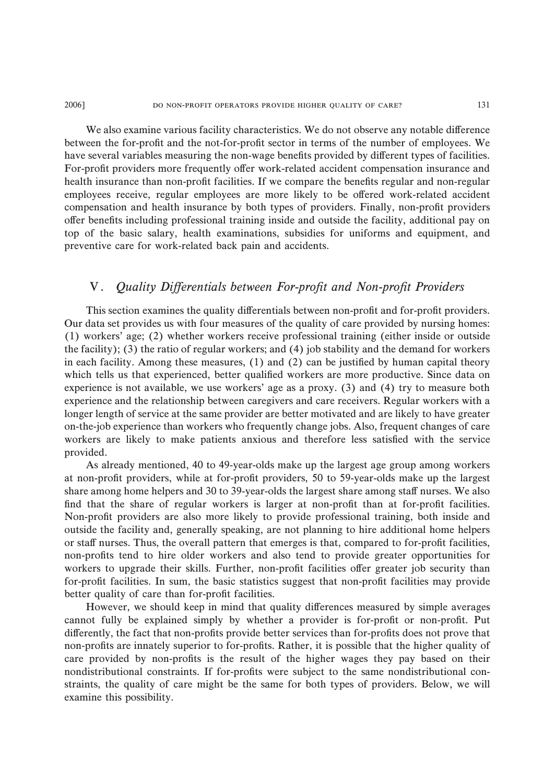#### 2006] 2006 DO NON-PROFIT OPERATORS PROVIDE HIGHER QUALITY OF CARE?

We also examine various facility characteristics. We do not observe any notable difference between the for-profit and the not-for-profit sector in terms of the number of employees. We have several variables measuring the non-wage benefits provided by different types of facilities. For-profit providers more frequently offer work-related accident compensation insurance and health insurance than non-profit facilities. If we compare the benefits regular and non-regular employees receive, regular employees are more likely to be offered work-related accident compensation and health insurance by both types of providers. Finally, non-profit providers offer benefits including professional training inside and outside the facility, additional pay on top of the basic salary, health examinations, subsidies for uniforms and equipment, and preventive care for work-related back pain and accidents.

### V. Quality Differentials between For-profit and Non-profit Providers

This section examines the quality differentials between non-profit and for-profit providers. Our data set provides us with four measures of the quality of care provided by nursing homes: (1) workers' age; (2) whether workers receive professional training (either inside or outside the facility); (3) the ratio of regular workers; and (4) job stability and the demand for workers in each facility. Among these measures, (1) and (2) can be justified by human capital theory which tells us that experienced, better qualified workers are more productive. Since data on experience is not available, we use workers' age as a proxy. (3) and (4) try to measure both experience and the relationship between caregivers and care receivers. Regular workers with a longer length of service at the same provider are better motivated and are likely to have greater on-the-job experience than workers who frequently change jobs. Also, frequent changes of care workers are likely to make patients anxious and therefore less satisfied with the service provided.

As already mentioned, 40 to 49-year-olds make up the largest age group among workers at non-profit providers, while at for-profit providers, 50 to 59-year-olds make up the largest share among home helpers and 30 to 39-year-olds the largest share among staff nurses. We also find that the share of regular workers is larger at non-profit than at for-profit facilities. Non-profit providers are also more likely to provide professional training, both inside and outside the facility and, generally speaking, are not planning to hire additional home helpers or staff nurses. Thus, the overall pattern that emerges is that, compared to for-profit facilities, non-profits tend to hire older workers and also tend to provide greater opportunities for workers to upgrade their skills. Further, non-profit facilities offer greater job security than for-profit facilities. In sum, the basic statistics suggest that non-profit facilities may provide better quality of care than for-profit facilities.

However, we should keep in mind that quality differences measured by simple averages cannot fully be explained simply by whether a provider is for-profit or non-profit. Put differently, the fact that non-profits provide better services than for-profits does not prove that non-profits are innately superior to for-profits. Rather, it is possible that the higher quality of care provided by non-profits is the result of the higher wages they pay based on their nondistributional constraints. If for-profits were subject to the same nondistributional constraints, the quality of care might be the same for both types of providers. Below, we will examine this possibility.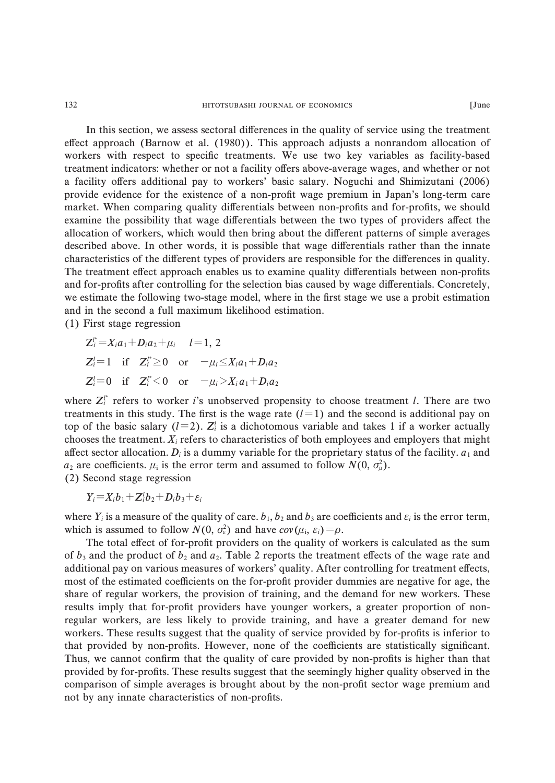In this section, we assess sectoral differences in the quality of service using the treatment effect approach (Barnow et al. (1980)). This approach adjusts a nonrandom allocation of workers with respect to specific treatments. We use two key variables as facility-based treatment indicators: whether or not a facility offers above-average wages, and whether or not a facility offers additional pay to workers' basic salary. Noguchi and Shimizutani (2006) provide evidence for the existence of a non-profit wage premium in Japan's long-term care market. When comparing quality differentials between non-profits and for-profits, we should examine the possibility that wage differentials between the two types of providers affect the allocation of workers, which would then bring about the different patterns of simple averages described above. In other words, it is possible that wage differentials rather than the innate characteristics of the different types of providers are responsible for the differences in quality. The treatment effect approach enables us to examine quality differentials between non-profits and for-profits after controlling for the selection bias caused by wage differentials. Concretely, we estimate the following two-stage model, where in the first stage we use a probit estimation and in the second a full maximum likelihood estimation.

(1) First stage regression

$$
Z_i^* = X_i a_1 + D_i a_2 + \mu_i \quad l = 1, 2
$$
  
\n
$$
Z_i^l = 1 \quad \text{if} \quad Z_i^* \ge 0 \quad \text{or} \quad -\mu_i \le X_i a_1 + D_i a_2
$$
  
\n
$$
Z_i^l = 0 \quad \text{if} \quad Z_i^* \le 0 \quad \text{or} \quad -\mu_i > X_i a_1 + D_i a_2
$$

where  $Z_i^{t*}$  refers to worker *i*'s unobserved propensity to choose treatment *l*. There are two treatments in this study. The first is the wage rate  $(l=1)$  and the second is additional pay on top of the basic salary ( $l=2$ ).  $Z_i^l$  is a dichotomous variable and takes 1 if a worker actually chooses the treatment.  $X_i$  refers to characteristics of both employees and employers that might affect sector allocation.  $D_i$  is a dummy variable for the proprietary status of the facility.  $a_1$  and  $a_2$  are coefficients.  $\mu_i$  is the error term and assumed to follow  $N(0, \sigma_\mu^2)$ .

(2) Second stage regression

 $Y_i = X_i b_1 + Z_i^l b_2 + D_i b_3 + \varepsilon_i$ 

where  $Y_i$  is a measure of the quality of care.  $b_1$ ,  $b_2$  and  $b_3$  are coefficients and  $\varepsilon_i$  is the error term, which is assumed to follow  $N(0, \sigma_{\varepsilon}^2)$  and have  $cov(\mu_i, \varepsilon_i) = \rho$ .

The total effect of for-profit providers on the quality of workers is calculated as the sum of  $b_3$  and the product of  $b_2$  and  $a_2$ . Table 2 reports the treatment effects of the wage rate and additional pay on various measures of workers' quality. After controlling for treatment effects, most of the estimated coefficients on the for-profit provider dummies are negative for age, the share of regular workers, the provision of training, and the demand for new workers. These results imply that for-profit providers have younger workers, a greater proportion of nonregular workers, are less likely to provide training, and have a greater demand for new workers. These results suggest that the quality of service provided by for-profits is inferior to that provided by non-profits. However, none of the coefficients are statistically significant. Thus, we cannot confirm that the quality of care provided by non-profits is higher than that provided by for-profits. These results suggest that the seemingly higher quality observed in the comparison of simple averages is brought about by the non-profit sector wage premium and not by any innate characteristics of non-profits.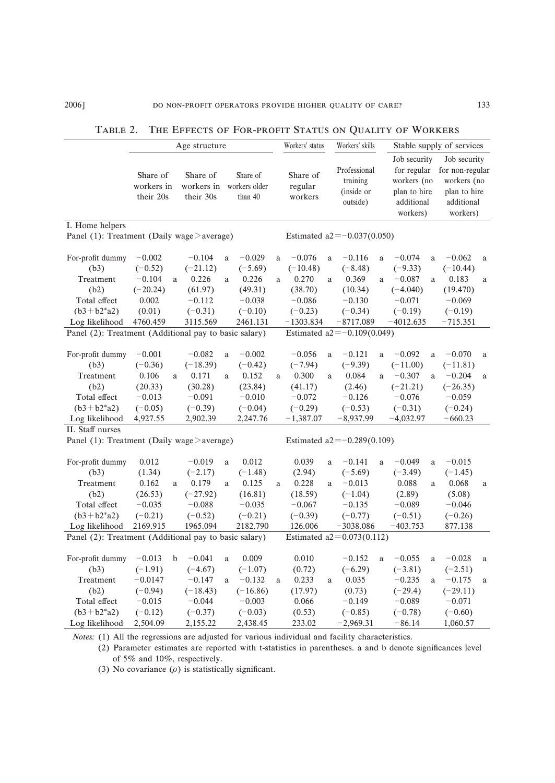|                                                       | Age structure |             |                      |              |               | Workers' status                |             |                               | Workers' skills                | Stable supply of services |                             |              |                                 |          |
|-------------------------------------------------------|---------------|-------------|----------------------|--------------|---------------|--------------------------------|-------------|-------------------------------|--------------------------------|---------------------------|-----------------------------|--------------|---------------------------------|----------|
|                                                       | Share of      |             | Share of             |              | Share of      |                                | Share of    |                               | Professional                   |                           | Job security<br>for regular |              | Job security<br>for non-regular |          |
|                                                       | workers in    |             | workers in           |              | workers older |                                | regular     |                               | training                       |                           | workers (no                 |              | workers (no                     |          |
|                                                       | their 20s     |             | their 30s<br>than 40 |              | workers       |                                |             | (inside or                    |                                | plan to hire              |                             | plan to hire |                                 |          |
|                                                       |               |             |                      |              |               |                                |             |                               | outside)                       | additional                |                             | additional   |                                 |          |
|                                                       |               |             |                      |              |               |                                |             |                               |                                |                           | workers)                    |              | workers)                        |          |
| I. Home helpers                                       |               |             |                      |              |               |                                |             |                               |                                |                           |                             |              |                                 |          |
| Panel (1): Treatment (Daily wage > average)           |               |             |                      |              |               |                                |             |                               | Estimated $a2 = -0.037(0.050)$ |                           |                             |              |                                 |          |
| For-profit dummy                                      | $-0.002$      |             | $-0.104$             | a            | $-0.029$      | a                              | $-0.076$    | a                             | $-0.116$                       | a                         | $-0.074$                    | a            | $-0.062$                        | a        |
| (b3)                                                  | $(-0.52)$     |             | $(-21.12)$           |              | $(-5.69)$     |                                | $(-10.48)$  |                               | $(-8.48)$                      |                           | $(-9.33)$                   |              | $(-10.44)$                      |          |
| Treatment                                             | $-0.104$      | a           | 0.226                | a            | 0.226         | a                              | 0.270       | a                             | 0.369                          | a.                        | $-0.087$                    | a            | 0.183                           | a        |
| (b2)                                                  | $(-20.24)$    |             | (61.97)              |              | (49.31)       |                                | (38.70)     |                               | (10.34)                        |                           | $(-4.040)$                  |              | (19.470)                        |          |
| Total effect                                          | 0.002         |             | $-0.112$             |              | $-0.038$      |                                | $-0.086$    |                               | $-0.130$                       |                           | $-0.071$                    |              | $-0.069$                        |          |
| $(b3+b2*a2)$                                          | (0.01)        |             | $(-0.31)$            |              | $(-0.10)$     |                                | $(-0.23)$   |                               | $(-0.34)$                      |                           | $(-0.19)$                   |              | $(-0.19)$                       |          |
| Log likelihood                                        | 4760.459      |             | 3115.569             |              | 2461.131      |                                | $-1303.834$ |                               | $-8717.089$                    |                           | $-4012.635$                 |              | $-715.351$                      |          |
| Panel (2): Treatment (Additional pay to basic salary) |               |             |                      |              |               |                                |             |                               | Estimated $a2 = -0.109(0.049)$ |                           |                             |              |                                 |          |
|                                                       |               |             |                      |              |               |                                |             |                               |                                |                           |                             |              |                                 |          |
| For-profit dummy                                      | $-0.001$      |             | $-0.082$             | $\mathbf{a}$ | $-0.002$      |                                | $-0.056$    | $\rm{a}$                      | $-0.121$                       | a                         | $-0.092$                    | $\rm{a}$     | $-0.070$                        | $\rm{a}$ |
| (b3)                                                  | $(-0.36)$     |             | $(-18.39)$           |              | $(-0.42)$     |                                | $(-7.94)$   |                               | $(-9.39)$                      |                           | $(-11.00)$                  |              | $(-11.81)$                      |          |
| Treatment                                             | 0.106         | a.          | 0.171                | a            | 0.152         | a                              | 0.300       | a                             | 0.084                          | a                         | $-0.307$                    | a            | $-0.204$                        | a        |
| (b2)                                                  | (20.33)       |             | (30.28)              |              | (23.84)       |                                | (41.17)     |                               | (2.46)                         |                           | $(-21.21)$                  |              | $(-26.35)$                      |          |
| Total effect                                          | $-0.013$      |             | $-0.091$             |              | $-0.010$      |                                | $-0.072$    |                               | $-0.126$                       |                           | $-0.076$                    |              | $-0.059$                        |          |
| $(b3+b2*a2)$                                          | $(-0.05)$     |             | $(-0.39)$            |              | $(-0.04)$     |                                | $(-0.29)$   |                               | $(-0.53)$                      |                           | $(-0.31)$                   |              | $(-0.24)$                       |          |
| Log likelihood                                        | 4,927.55      |             | 2,902.39             |              | 2,247.76      |                                | $-1,387.07$ |                               | $-8,937.99$                    |                           | $-4,032.97$                 |              | $-660.23$                       |          |
| II. Staff nurses                                      |               |             |                      |              |               |                                |             |                               |                                |                           |                             |              |                                 |          |
| Panel (1): Treatment (Daily wage $>$ average)         |               |             |                      |              |               | Estimated $a2 = -0.289(0.109)$ |             |                               |                                |                           |                             |              |                                 |          |
| For-profit dummy                                      | 0.012         |             | $-0.019$             | a            | 0.012         |                                | 0.039       | a                             | $-0.141$                       | a                         | $-0.049$                    | a            | $-0.015$                        |          |
| (b3)                                                  | (1.34)        |             | $(-2.17)$            |              | $(-1.48)$     |                                | (2.94)      |                               | $(-5.69)$                      |                           | $(-3.49)$                   |              | $(-1.45)$                       |          |
| Treatment                                             | 0.162         | a           | 0.179                | a            | 0.125         | a                              | 0.228       | a                             | $-0.013$                       |                           | 0.088                       | a            | 0.068                           | $\rm{a}$ |
| (b2)                                                  | (26.53)       |             | $(-27.92)$           |              | (16.81)       |                                | (18.59)     |                               | $(-1.04)$                      |                           | (2.89)                      |              | (5.08)                          |          |
| Total effect                                          | $-0.035$      |             | $-0.088$             |              | $-0.035$      |                                | $-0.067$    |                               | $-0.135$                       |                           | $-0.089$                    |              | $-0.046$                        |          |
| $(b3+b2*a2)$                                          | $(-0.21)$     |             | $(-0.52)$            |              | $(-0.21)$     |                                | $(-0.39)$   |                               | $(-0.77)$                      |                           | $(-0.51)$                   |              | $(-0.26)$                       |          |
| Log likelihood                                        | 2169.915      |             | 1965.094             |              | 2182.790      |                                | 126.006     |                               | $-3038.086$                    |                           | $-403.753$                  |              | 877.138                         |          |
| Panel (2): Treatment (Additional pay to basic salary) |               |             |                      |              |               |                                |             | Estimated $a2 = 0.073(0.112)$ |                                |                           |                             |              |                                 |          |
| For-profit dummy                                      | $-0.013$      | $\mathbf b$ | $-0.041$             | a            | 0.009         |                                | 0.010       |                               | $-0.152$                       | a                         | $-0.055$                    | a            | $-0.028$                        | a        |
| (b3)                                                  | $(-1.91)$     |             | $(-4.67)$            |              | $(-1.07)$     |                                | (0.72)      |                               | $(-6.29)$                      |                           | $(-3.81)$                   |              | $(-2.51)$                       |          |
| Treatment                                             | $-0.0147$     |             | $-0.147$             | a            | $-0.132$      | a                              | 0.233       | a                             | 0.035                          |                           | $-0.235$                    | a            | $-0.175$                        | a        |
| (b2)                                                  | $(-0.94)$     |             | $(-18.43)$           |              | $(-16.86)$    |                                | (17.97)     |                               | (0.73)                         |                           | $(-29.4)$                   |              | $(-29.11)$                      |          |
| Total effect                                          | $-0.015$      |             | $-0.044$             |              | $-0.003$      |                                | 0.066       |                               | $-0.149$                       |                           | $-0.089$                    |              | $-0.071$                        |          |
| $(b3+b2*a2)$                                          | $(-0.12)$     |             | $(-0.37)$            |              | $(-0.03)$     |                                | (0.53)      |                               | $(-0.85)$                      |                           | $(-0.78)$                   |              | $(-0.60)$                       |          |
| Log likelihood                                        | 2,504.09      |             | 2,155.22             |              | 2,438.45      |                                | 233.02      |                               | $-2,969.31$                    |                           | $-86.14$                    |              | 1,060.57                        |          |
|                                                       |               |             |                      |              |               |                                |             |                               |                                |                           |                             |              |                                 |          |

TABLE 2. THE EFFECTS OF FOR-PROFIT STATUS ON QUALITY OF WORKERS

Notes: (1) All the regressions are adjusted for various individual and facility characteristics.

(2) Parameter estimates are reported with t-statistics in parentheses. a and b denote significances level of 5% and 10%, respectively.

(3) No covariance  $(\rho)$  is statistically significant.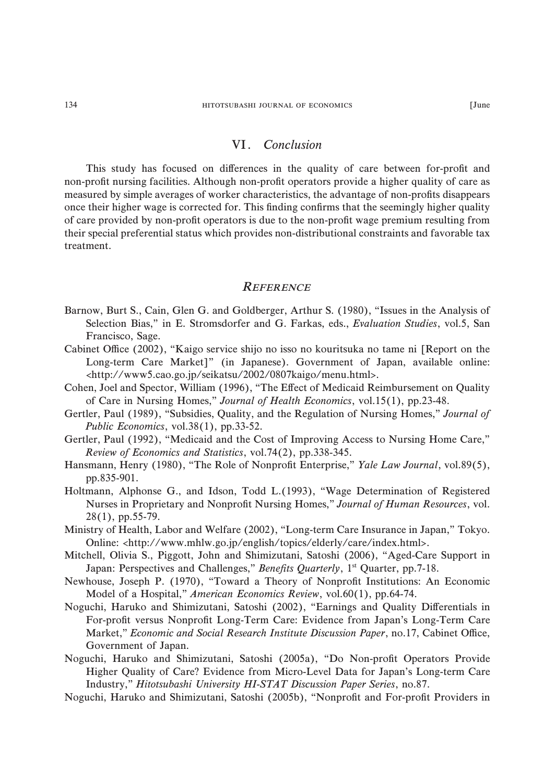### VI. Conclusion

This study has focused on differences in the quality of care between for-profit and non-profit nursing facilities. Although non-profit operators provide a higher quality of care as measured by simple averages of worker characteristics, the advantage of non-profits disappears once their higher wage is corrected for. This finding confirms that the seemingly higher quality of care provided by non-profit operators is due to the non-profit wage premium resulting from their special preferential status which provides non-distributional constraints and favorable tax treatment.

#### **REFERENCE**

- Barnow, Burt S., Cain, Glen G. and Goldberger, Arthur S. (1980), "Issues in the Analysis of Selection Bias," in E. Stromsdorfer and G. Farkas, eds., Evaluation Studies, vol.5, San Francisco, Sage.
- Cabinet Office (2002), "Kaigo service shijo no isso no kouritsuka no tame ni [Report on the Long-term Care Market]" (in Japanese). Government of Japan, available online: <http://www5.cao.go.jp/seikatsu/2002/0807kaigo/menu.html>.
- Cohen, Joel and Spector, William (1996), "The Effect of Medicaid Reimbursement on Quality of Care in Nursing Homes," Journal of Health Economics, vol.15(1), pp.23-48.
- Gertler, Paul (1989), "Subsidies, Quality, and the Regulation of Nursing Homes," Journal of Public Economics, vol.38(1), pp.33-52.
- Gertler, Paul (1992), "Medicaid and the Cost of Improving Access to Nursing Home Care," Review of Economics and Statistics, vol.74(2), pp.338-345.
- Hansmann, Henry (1980), "The Role of Nonprofit Enterprise," Yale Law Journal, vol.89(5), pp.835-901.
- Holtmann, Alphonse G., and Idson, Todd L.(1993), "Wage Determination of Registered Nurses in Proprietary and Nonprofit Nursing Homes," Journal of Human Resources, vol. 28(1), pp.55-79.
- Ministry of Health, Labor and Welfare (2002), "Long-term Care Insurance in Japan," Tokyo. Online: <http://www.mhlw.go.jp/english/topics/elderly/care/index.html>.
- Mitchell, Olivia S., Piggott, John and Shimizutani, Satoshi (2006), "Aged-Care Support in Japan: Perspectives and Challenges," Benefits Quarterly, 1<sup>st</sup> Quarter, pp.7-18.
- Newhouse, Joseph P. (1970), "Toward a Theory of Nonprofit Institutions: An Economic Model of a Hospital," American Economics Review, vol.60(1), pp.64-74.
- Noguchi, Haruko and Shimizutani, Satoshi (2002), "Earnings and Quality Differentials in For-profit versus Nonprofit Long-Term Care: Evidence from Japan's Long-Term Care Market," Economic and Social Research Institute Discussion Paper, no.17, Cabinet Office, Government of Japan.
- Noguchi, Haruko and Shimizutani, Satoshi (2005a), "Do Non-profit Operators Provide Higher Quality of Care? Evidence from Micro-Level Data for Japan's Long-term Care Industry," Hitotsubashi University HI-STAT Discussion Paper Series, no.87.
- Noguchi, Haruko and Shimizutani, Satoshi (2005b), "Nonprofit and For-profit Providers in